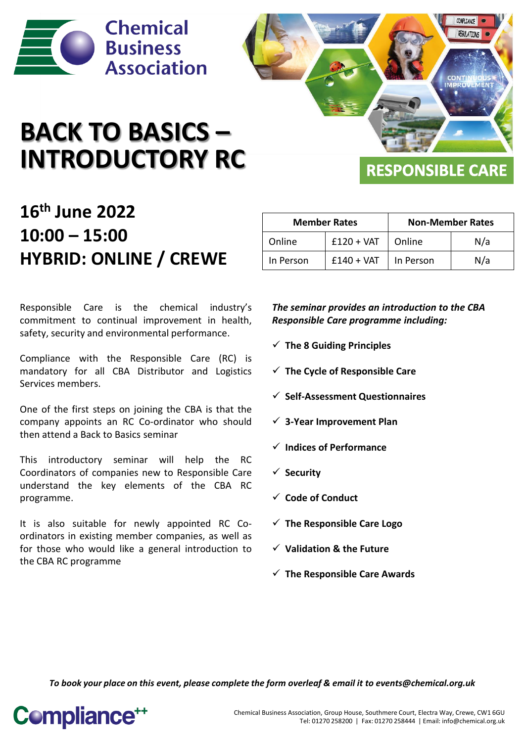

# **BACK TO BASICS – INTRODUCTORY RC**

**REGULATIONS** 

### **RESPONSIBLE CARE**

COMPLITANCE

### **16th June 2022 10:00 – 15:00 HYBRID: ONLINE / CREWE**

Responsible Care is the chemical industry's commitment to continual improvement in health, safety, security and environmental performance.

Compliance with the Responsible Care (RC) is mandatory for all CBA Distributor and Logistics Services members.

One of the first steps on joining the CBA is that the company appoints an RC Co-ordinator who should then attend a Back to Basics seminar

This introductory seminar will help the RC Coordinators of companies new to Responsible Care understand the key elements of the CBA RC programme.

It is also suitable for newly appointed RC Coordinators in existing member companies, as well as for those who would like a general introduction to the CBA RC programme

| <b>Member Rates</b> |              | <b>Non-Member Rates</b> |     |  |  |  |
|---------------------|--------------|-------------------------|-----|--|--|--|
| Online              | $£120 + VAT$ | Online                  | N/a |  |  |  |
| In Person           | $£140 + VAT$ | In Person               | N/a |  |  |  |

*The seminar provides an introduction to the CBA Responsible Care programme including:*

- ✓ **The 8 Guiding Principles**
- ✓ **The Cycle of Responsible Care**
- ✓ **Self-Assessment Questionnaires**
- ✓ **3-Year Improvement Plan**
- ✓ **Indices of Performance**
- ✓ **Security**
- ✓ **Code of Conduct**
- ✓ **The Responsible Care Logo**
- ✓ **Validation & the Future**
- ✓ **The Responsible Care Awards**

*To book your place on this event, please complete the form overleaf & email it to events@chemical.org.uk*